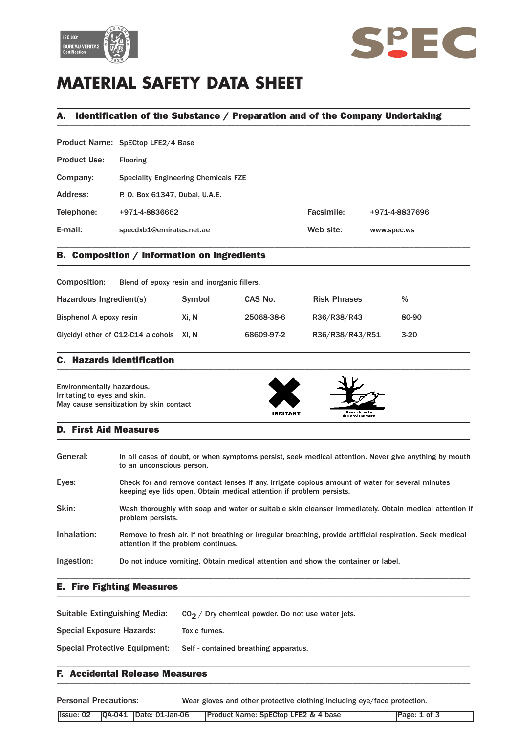



# **MATERIAL SAFETY DATA SHEET**

## A. Identification of the Substance / Preparation and of the Company Undertaking \_\_\_\_\_\_\_\_\_\_\_\_\_\_\_\_\_\_\_\_\_\_\_\_\_\_\_\_\_\_\_\_\_\_\_\_\_\_\_\_\_\_\_\_\_\_\_\_\_\_\_\_\_\_\_\_\_\_\_\_\_\_\_\_\_\_\_\_\_\_\_\_\_\_\_\_\_\_\_\_\_\_\_\_\_\_\_\_\_\_\_\_\_\_\_

\_\_\_\_\_\_\_\_\_\_\_\_\_\_\_\_\_\_\_\_\_\_\_\_\_\_\_\_\_\_\_\_\_\_\_\_\_\_\_\_\_\_\_\_\_\_\_\_\_\_\_\_\_\_\_\_\_\_\_\_\_\_\_\_\_\_\_\_\_\_\_\_\_\_\_\_\_\_\_\_\_\_\_\_\_\_\_\_\_\_\_\_\_\_\_

|                     | Product Name: SpECtop LFE2/4 Base           |            |                |
|---------------------|---------------------------------------------|------------|----------------|
| <b>Product Use:</b> | <b>Flooring</b>                             |            |                |
| Company:            | <b>Speciality Engineering Chemicals FZE</b> |            |                |
| Address:            | P. O. Box 61347, Dubai, U.A.E.              |            |                |
| Telephone:          | +971-4-8836662                              | Facsimile: | +971-4-8837696 |
| E-mail:             | specdxb1@emirates.net.ae                    | Web site:  | www.spec.ws    |

\_\_\_\_\_\_\_\_\_\_\_\_\_\_\_\_\_\_\_\_\_\_\_\_\_\_\_\_\_\_\_\_\_\_\_\_\_\_\_\_\_\_\_\_\_\_\_\_\_\_\_\_\_\_\_\_\_\_\_\_\_\_\_\_\_\_\_\_\_\_\_\_\_\_\_\_\_\_\_\_\_\_\_\_\_\_\_\_\_\_\_\_\_\_\_

### B. Composition / Information on Ingredients \_\_\_\_\_\_\_\_\_\_\_\_\_\_\_\_\_\_\_\_\_\_\_\_\_\_\_\_\_\_\_\_\_\_\_\_\_\_\_\_\_\_\_\_\_\_\_\_\_\_\_\_\_\_\_\_\_\_\_\_\_\_\_\_\_\_\_\_\_\_\_\_\_\_\_\_\_\_\_\_\_\_\_\_\_\_\_\_\_\_\_\_\_\_\_

| Composition:                             | Blend of epoxy resin and inorganic fillers. |            |                     |        |
|------------------------------------------|---------------------------------------------|------------|---------------------|--------|
| Hazardous Ingredient(s)                  | Symbol                                      | CAS No.    | <b>Risk Phrases</b> | %      |
| Bisphenol A epoxy resin                  | Xi. N                                       | 25068-38-6 | R36/R38/R43         | 80-90  |
| Glycidyl ether of C12-C14 alcohols Xi, N |                                             | 68609-97-2 | R36/R38/R43/R51     | $3-20$ |

\_\_\_\_\_\_\_\_\_\_\_\_\_\_\_\_\_\_\_\_\_\_\_\_\_\_\_\_\_\_\_\_\_\_\_\_\_\_\_\_\_\_\_\_\_\_\_\_\_\_\_\_\_\_\_\_\_\_\_\_\_\_\_\_\_\_\_\_\_\_\_\_\_\_\_\_\_\_\_\_\_\_\_\_\_\_\_\_\_\_\_\_\_\_\_

#### C. Hazards Identification  $\blacksquare$

Environmentally hazardous. Irritating to eyes and skin. May cause sensitization by skin contact





#### D. First Aid Measures  $\blacksquare$

| General:    | In all cases of doubt, or when symptoms persist, seek medical attention. Never give anything by mouth<br>to an unconscious person.                                       |
|-------------|--------------------------------------------------------------------------------------------------------------------------------------------------------------------------|
| Eyes:       | Check for and remove contact lenses if any, irrigate copious amount of water for several minutes<br>keeping eye lids open. Obtain medical attention if problem persists. |
| Skin:       | Wash thoroughly with soap and water or suitable skin cleanser immediately. Obtain medical attention if<br>problem persists.                                              |
| Inhalation: | Remove to fresh air. If not breathing or irregular breathing, provide artificial respiration. Seek medical<br>attention if the problem continues.                        |
| Ingestion:  | Do not induce vomiting. Obtain medical attention and show the container or label.                                                                                        |

\_\_\_\_\_\_\_\_\_\_\_\_\_\_\_\_\_\_\_\_\_\_\_\_\_\_\_\_\_\_\_\_\_\_\_\_\_\_\_\_\_\_\_\_\_\_\_\_\_\_\_\_\_\_\_\_\_\_\_\_\_\_\_\_\_\_\_\_\_\_\_\_\_\_\_\_\_\_\_\_\_\_\_\_\_\_\_\_\_\_\_\_\_\_\_

#### E. Fire Fighting Measures \_\_\_\_\_\_\_\_\_\_\_\_\_\_\_\_\_\_\_\_\_\_\_\_\_\_\_\_\_\_\_\_\_\_\_\_\_\_\_\_\_\_\_\_\_\_\_\_\_\_\_\_\_\_\_\_\_\_\_\_\_\_\_\_\_\_\_\_\_\_\_\_\_\_\_\_\_\_\_\_\_\_\_\_\_\_\_\_\_\_\_\_\_\_\_

| Suitable Extinguishing Media: | $CO2$ / Dry chemical powder. Do not use water jets. |
|-------------------------------|-----------------------------------------------------|
| Special Exposure Hazards:     | Toxic fumes.                                        |
| Special Protective Equipment: | Self - contained breathing apparatus.               |
|                               |                                                     |

### F. Accidental Release Measures \_\_\_\_\_\_\_\_\_\_\_\_\_\_\_\_\_\_\_\_\_\_\_\_\_\_\_\_\_\_\_\_\_\_\_\_\_\_\_\_\_\_\_\_\_\_\_\_\_\_\_\_\_\_\_\_\_\_\_\_\_\_\_\_\_\_\_\_\_\_\_\_\_\_\_\_\_\_\_\_\_\_\_\_\_\_\_\_\_\_\_\_\_\_\_

Personal Precautions: Wear gloves and other protective clothing including eye/face protection.

|  |  |  |  | <b>IProduct Name: SpECtop LFE2 &amp; 4 base</b> | Page: 1 of 3 |
|--|--|--|--|-------------------------------------------------|--------------|
|--|--|--|--|-------------------------------------------------|--------------|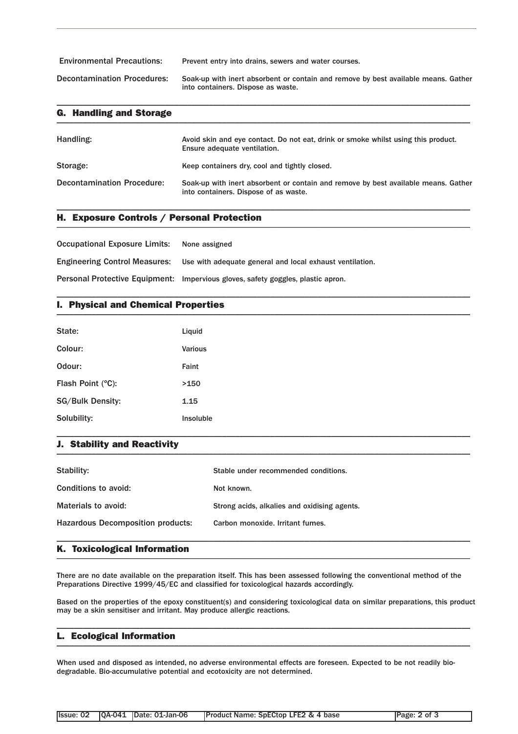| <b>Environmental Precautions:</b>  | Prevent entry into drains, sewers and water courses.                                                                     |
|------------------------------------|--------------------------------------------------------------------------------------------------------------------------|
| <b>Decontamination Procedures:</b> | Soak-up with inert absorbent or contain and remove by best available means. Gather<br>into containers. Dispose as waste. |

\_\_\_\_\_\_\_\_\_\_\_\_\_\_\_\_\_\_\_\_\_\_\_\_\_\_\_\_\_\_\_\_\_\_\_\_\_\_\_\_\_\_\_\_\_\_\_\_\_\_\_\_\_\_\_\_\_\_\_\_\_\_\_\_\_\_\_\_\_\_\_\_\_\_\_\_\_\_\_\_\_\_\_\_\_\_\_\_\_\_\_\_\_\_\_

| <b>G. Handling and Storage</b>    |                                                                                                                             |
|-----------------------------------|-----------------------------------------------------------------------------------------------------------------------------|
| Handling:                         | Avoid skin and eye contact. Do not eat, drink or smoke whilst using this product.<br>Ensure adequate ventilation.           |
| Storage:                          | Keep containers dry, cool and tightly closed.                                                                               |
| <b>Decontamination Procedure:</b> | Soak-up with inert absorbent or contain and remove by best available means. Gather<br>into containers. Dispose of as waste. |

\_\_\_\_\_\_\_\_\_\_\_\_\_\_\_\_\_\_\_\_\_\_\_\_\_\_\_\_\_\_\_\_\_\_\_\_\_\_\_\_\_\_\_\_\_\_\_\_\_\_\_\_\_\_\_\_\_\_\_\_\_\_\_\_\_\_\_\_\_\_\_\_\_\_\_\_\_\_\_\_\_\_\_\_\_\_\_\_\_\_\_\_\_\_\_

\_\_\_\_\_\_\_\_\_\_\_\_\_\_\_\_\_\_\_\_\_\_\_\_\_\_\_\_\_\_\_\_\_\_\_\_\_\_\_\_\_\_\_\_\_\_\_\_\_\_\_\_\_\_\_\_\_\_\_\_\_\_\_\_\_\_\_\_\_\_\_\_\_\_\_\_\_\_\_\_\_\_\_\_\_\_\_\_\_\_\_\_\_\_\_

### H. Exposure Controls / Personal Protection \_\_\_\_\_\_\_\_\_\_\_\_\_\_\_\_\_\_\_\_\_\_\_\_\_\_\_\_\_\_\_\_\_\_\_\_\_\_\_\_\_\_\_\_\_\_\_\_\_\_\_\_\_\_\_\_\_\_\_\_\_\_\_\_\_\_\_\_\_\_\_\_\_\_\_\_\_\_\_\_\_\_\_\_\_\_\_\_\_\_\_\_\_\_\_

| <b>Occupational Exposure Limits:</b> | None assigned                                                                    |
|--------------------------------------|----------------------------------------------------------------------------------|
| <b>Engineering Control Measures:</b> | Use with adequate general and local exhaust ventilation.                         |
|                                      | Personal Protective Equipment: Impervious gloves, safety goggles, plastic apron. |

### I. Physical and Chemical Properties \_\_\_\_\_\_\_\_\_\_\_\_\_\_\_\_\_\_\_\_\_\_\_\_\_\_\_\_\_\_\_\_\_\_\_\_\_\_\_\_\_\_\_\_\_\_\_\_\_\_\_\_\_\_\_\_\_\_\_\_\_\_\_\_\_\_\_\_\_\_\_\_\_\_\_\_\_\_\_\_\_\_\_\_\_\_\_\_\_\_\_\_\_\_\_

| State:            | Liquid    |
|-------------------|-----------|
| Colour:           | Various   |
| Odour:            | Faint     |
| Flash Point (°C): | >150      |
| SG/Bulk Density:  | 1.15      |
| Solubility:       | Insoluble |

#### J. Stability and Reactivity  $\blacksquare$

| Stability:                               | Stable under recommended conditions.         |
|------------------------------------------|----------------------------------------------|
| Conditions to avoid:                     | Not known.                                   |
| Materials to avoid:                      | Strong acids, alkalies and oxidising agents. |
| <b>Hazardous Decomposition products:</b> | Carbon monoxide. Irritant fumes.             |
|                                          |                                              |

\_\_\_\_\_\_\_\_\_\_\_\_\_\_\_\_\_\_\_\_\_\_\_\_\_\_\_\_\_\_\_\_\_\_\_\_\_\_\_\_\_\_\_\_\_\_\_\_\_\_\_\_\_\_\_\_\_\_\_\_\_\_\_\_\_\_\_\_\_\_\_\_\_\_\_\_\_\_\_\_\_\_\_\_\_\_\_\_\_\_\_\_\_\_\_

### K. Toxicological Information \_\_\_\_\_\_\_\_\_\_\_\_\_\_\_\_\_\_\_\_\_\_\_\_\_\_\_\_\_\_\_\_\_\_\_\_\_\_\_\_\_\_\_\_\_\_\_\_\_\_\_\_\_\_\_\_\_\_\_\_\_\_\_\_\_\_\_\_\_\_\_\_\_\_\_\_\_\_\_\_\_\_\_\_\_\_\_\_\_\_\_\_\_\_\_

There are no date available on the preparation itself. This has been assessed following the conventional method of the Preparations Directive 1999/45/EC and classified for toxicological hazards accordingly.

Based on the properties of the epoxy constituent(s) and considering toxicological data on similar preparations, this product may be a skin sensitiser and irritant. May produce allergic reactions.

\_\_\_\_\_\_\_\_\_\_\_\_\_\_\_\_\_\_\_\_\_\_\_\_\_\_\_\_\_\_\_\_\_\_\_\_\_\_\_\_\_\_\_\_\_\_\_\_\_\_\_\_\_\_\_\_\_\_\_\_\_\_\_\_\_\_\_\_\_\_\_\_\_\_\_\_\_\_\_\_\_\_\_\_\_\_\_\_\_\_\_\_\_\_\_

#### L. Ecological Information \_\_\_\_\_\_\_\_\_\_\_\_\_\_\_\_\_\_\_\_\_\_\_\_\_\_\_\_\_\_\_\_\_\_\_\_\_\_\_\_\_\_\_\_\_\_\_\_\_\_\_\_\_\_\_\_\_\_\_\_\_\_\_\_\_\_\_\_\_\_\_\_\_\_\_\_\_\_\_\_\_\_\_\_\_\_\_\_\_\_\_\_\_\_\_

When used and disposed as intended, no adverse environmental effects are foreseen. Expected to be not readily biodegradable. Bio-accumulative potential and ecotoxicity are not determined.

|  | <b>Product Name: SpECtop LFE2 &amp; 4 base</b> | Page: 2 of 3 |
|--|------------------------------------------------|--------------|
|  |                                                |              |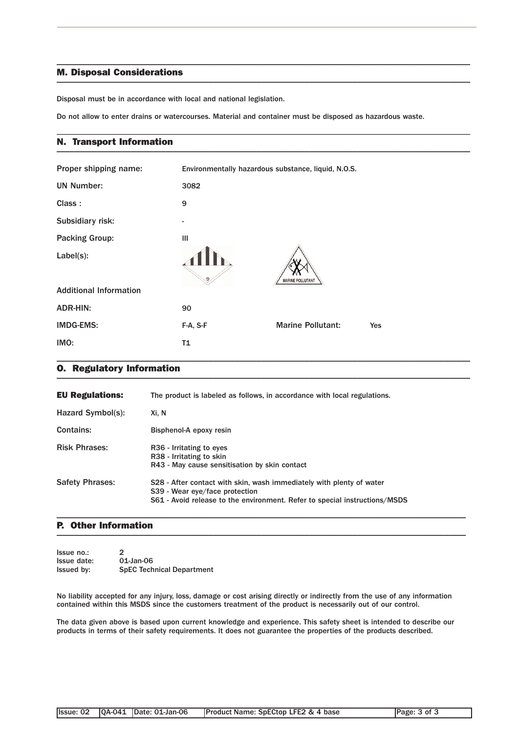#### M. Disposal Considerations  $\blacksquare$

Disposal must be in accordance with local and national legislation.

Do not allow to enter drains or watercourses. Material and container must be disposed as hazardous waste.

\_\_\_\_\_\_\_\_\_\_\_\_\_\_\_\_\_\_\_\_\_\_\_\_\_\_\_\_\_\_\_\_\_\_\_\_\_\_\_\_\_\_\_\_\_\_\_\_\_\_\_\_\_\_\_\_\_\_\_\_\_\_\_\_\_\_\_\_\_\_\_\_\_\_\_\_\_\_\_\_\_\_\_\_\_\_\_\_\_\_\_\_\_\_\_

\_\_\_\_\_\_\_\_\_\_\_\_\_\_\_\_\_\_\_\_\_\_\_\_\_\_\_\_\_\_\_\_\_\_\_\_\_\_\_\_\_\_\_\_\_\_\_\_\_\_\_\_\_\_\_\_\_\_\_\_\_\_\_\_\_\_\_\_\_\_\_\_\_\_\_\_\_\_\_\_\_\_\_\_\_\_\_\_\_\_\_\_\_\_\_

#### N. Transport Information \_\_\_\_\_\_\_\_\_\_\_\_\_\_\_\_\_\_\_\_\_\_\_\_\_\_\_\_\_\_\_\_\_\_\_\_\_\_\_\_\_\_\_\_\_\_\_\_\_\_\_\_\_\_\_\_\_\_\_\_\_\_\_\_\_\_\_\_\_\_\_\_\_\_\_\_\_\_\_\_\_\_\_\_\_\_\_\_\_\_\_\_\_\_\_

| Proper shipping name:         | Environmentally hazardous substance, liquid, N.O.S. |                          |     |
|-------------------------------|-----------------------------------------------------|--------------------------|-----|
| <b>UN Number:</b>             | 3082                                                |                          |     |
| Class:                        | 9                                                   |                          |     |
| Subsidiary risk:              | $\overline{a}$                                      |                          |     |
| <b>Packing Group:</b>         | Ш                                                   |                          |     |
| Label(s):                     | 9                                                   | <b>MARINE POLLUTANT</b>  |     |
| <b>Additional Information</b> |                                                     |                          |     |
| <b>ADR-HIN:</b>               | 90                                                  |                          |     |
| <b>IMDG-EMS:</b>              | F-A, S-F                                            | <b>Marine Pollutant:</b> | Yes |
| IMO:                          | T1                                                  |                          |     |

#### O. Regulatory Information \_\_\_\_\_\_\_\_\_\_\_\_\_\_\_\_\_\_\_\_\_\_\_\_\_\_\_\_\_\_\_\_\_\_\_\_\_\_\_\_\_\_\_\_\_\_\_\_\_\_\_\_\_\_\_\_\_\_\_\_\_\_\_\_\_\_\_\_\_\_\_\_\_\_\_\_\_\_\_\_\_\_\_\_\_\_\_\_\_\_\_\_\_\_\_

| <b>EU Regulations:</b> | The product is labeled as follows, in accordance with local regulations.                                                                                                             |
|------------------------|--------------------------------------------------------------------------------------------------------------------------------------------------------------------------------------|
| Hazard Symbol(s):      | Xi. N                                                                                                                                                                                |
| <b>Contains:</b>       | Bisphenol-A epoxy resin                                                                                                                                                              |
| <b>Risk Phrases:</b>   | R <sub>36</sub> - Irritating to eyes<br>R38 - Irritating to skin<br>R43 - May cause sensitisation by skin contact                                                                    |
| <b>Safety Phrases:</b> | S28 - After contact with skin, wash immediately with plenty of water<br>S39 - Wear eye/face protection<br>S61 - Avoid release to the environment. Refer to special instructions/MSDS |

#### P. Other Information  $\blacksquare$

| Issue no.:        | $\mathcal{P}$                    |
|-------------------|----------------------------------|
| Issue date:       | 01-Jan-06                        |
| <b>Issued by:</b> | <b>SpEC Technical Department</b> |

No liability accepted for any injury, loss, damage or cost arising directly or indirectly from the use of any information contained within this MSDS since the customers treatment of the product is necessarily out of our control.

\_\_\_\_\_\_\_\_\_\_\_\_\_\_\_\_\_\_\_\_\_\_\_\_\_\_\_\_\_\_\_\_\_\_\_\_\_\_\_\_\_\_\_\_\_\_\_\_\_\_\_\_\_\_\_\_\_\_\_\_\_\_\_\_\_\_\_\_\_\_\_\_\_\_\_\_\_\_\_\_\_\_\_\_\_\_\_\_\_\_\_\_\_\_

The data given above is based upon current knowledge and experience. This safety sheet is intended to describe our products in terms of their safety requirements. It does not guarantee the properties of the products described.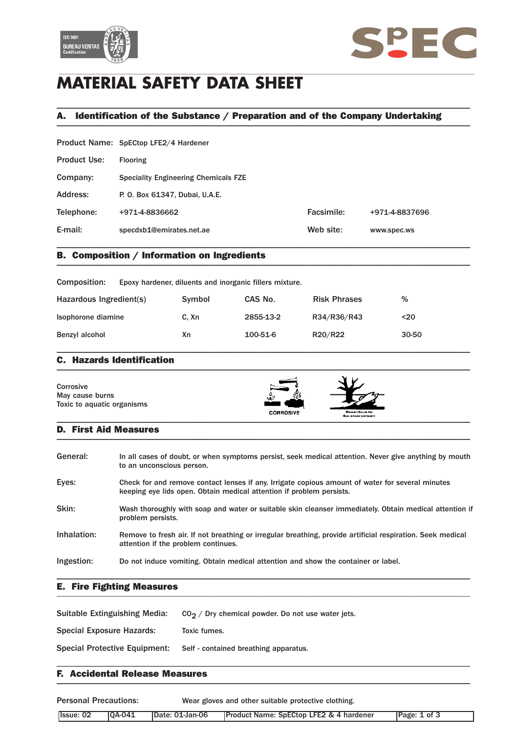



# **MATERIAL SAFETY DATA SHEET**

## A. Identification of the Substance / Preparation and of the Company Undertaking \_\_\_\_\_\_\_\_\_\_\_\_\_\_\_\_\_\_\_\_\_\_\_\_\_\_\_\_\_\_\_\_\_\_\_\_\_\_\_\_\_\_\_\_\_\_\_\_\_\_\_\_\_\_\_\_\_\_\_\_\_\_\_\_\_\_\_\_\_\_\_\_\_\_\_\_\_\_\_\_\_\_\_\_\_\_\_\_\_\_\_\_\_\_\_

\_\_\_\_\_\_\_\_\_\_\_\_\_\_\_\_\_\_\_\_\_\_\_\_\_\_\_\_\_\_\_\_\_\_\_\_\_\_\_\_\_\_\_\_\_\_\_\_\_\_\_\_\_\_\_\_\_\_\_\_\_\_\_\_\_\_\_\_\_\_\_\_\_\_\_\_\_\_\_\_\_\_\_\_\_\_\_\_\_\_\_\_\_\_\_

|                     | Product Name: SpECtop LFE2/4 Hardener       |            |                |
|---------------------|---------------------------------------------|------------|----------------|
| <b>Product Use:</b> | <b>Flooring</b>                             |            |                |
| Company:            | <b>Speciality Engineering Chemicals FZE</b> |            |                |
| Address:            | P. O. Box 61347, Dubai, U.A.E.              |            |                |
| Telephone:          | +971-4-8836662                              | Facsimile: | +971-4-8837696 |
| E-mail:             | specdxb1@emirates.net.ae                    | Web site:  | www.spec.ws    |
|                     |                                             |            |                |

### B. Composition / Information on Ingredients \_\_\_\_\_\_\_\_\_\_\_\_\_\_\_\_\_\_\_\_\_\_\_\_\_\_\_\_\_\_\_\_\_\_\_\_\_\_\_\_\_\_\_\_\_\_\_\_\_\_\_\_\_\_\_\_\_\_\_\_\_\_\_\_\_\_\_\_\_\_\_\_\_\_\_\_\_\_\_\_\_\_\_\_\_\_\_\_\_\_\_\_\_\_\_

| Composition:            | Epoxy hardener, diluents and inorganic fillers mixture. |        |           |                     |       |
|-------------------------|---------------------------------------------------------|--------|-----------|---------------------|-------|
| Hazardous Ingredient(s) |                                                         | Symbol | CAS No.   | <b>Risk Phrases</b> | %     |
| Isophorone diamine      |                                                         | C. Xn  | 2855-13-2 | R34/R36/R43         | $20$  |
| Benzyl alcohol          |                                                         | Xn     | 100-51-6  | R20/R22             | 30-50 |
|                         |                                                         |        |           |                     |       |

#### C. Hazards Identification  $\blacksquare$

| Corrosive                  |           |              |  |
|----------------------------|-----------|--------------|--|
| May cause burns            | ۷.        |              |  |
| Toxic to aquatic organisms |           |              |  |
|                            | CORROSIVE | Hazardous to |  |

 $\mathbf{a}$  the environment

#### D. First Aid Measures  $\blacksquare$

| General:    | In all cases of doubt, or when symptoms persist, seek medical attention. Never give anything by mouth<br>to an unconscious person.                                       |
|-------------|--------------------------------------------------------------------------------------------------------------------------------------------------------------------------|
| Eyes:       | Check for and remove contact lenses if any. Irrigate copious amount of water for several minutes<br>keeping eye lids open. Obtain medical attention if problem persists. |
| Skin:       | Wash thoroughly with soap and water or suitable skin cleanser immediately. Obtain medical attention if<br>problem persists.                                              |
| Inhalation: | Remove to fresh air. If not breathing or irregular breathing, provide artificial respiration. Seek medical<br>attention if the problem continues.                        |
| Ingestion:  | Do not induce vomiting. Obtain medical attention and show the container or label.                                                                                        |

\_\_\_\_\_\_\_\_\_\_\_\_\_\_\_\_\_\_\_\_\_\_\_\_\_\_\_\_\_\_\_\_\_\_\_\_\_\_\_\_\_\_\_\_\_\_\_\_\_\_\_\_\_\_\_\_\_\_\_\_\_\_\_\_\_\_\_\_\_\_\_\_\_\_\_\_\_\_\_\_\_\_\_\_\_\_\_\_\_\_\_\_\_\_\_

#### E. Fire Fighting Measures \_\_\_\_\_\_\_\_\_\_\_\_\_\_\_\_\_\_\_\_\_\_\_\_\_\_\_\_\_\_\_\_\_\_\_\_\_\_\_\_\_\_\_\_\_\_\_\_\_\_\_\_\_\_\_\_\_\_\_\_\_\_\_\_\_\_\_\_\_\_\_\_\_\_\_\_\_\_\_\_\_\_\_\_\_\_\_\_\_\_\_\_\_\_\_

| Suitable Extinguishing Media: | $CO2$ / Dry chemical powder. Do not use water jets. |
|-------------------------------|-----------------------------------------------------|
| Special Exposure Hazards:     | Toxic fumes.                                        |
| Special Protective Equipment: | Self - contained breathing apparatus.               |
|                               |                                                     |

#### F. Accidental Release Measures  $\blacksquare$

Personal Precautions: Wear gloves and other suitable protective clothing. Issue: 02 QA-041 Date: 01-Jan-06 Product Name: SpECtop LFE2 & 4 hardener Page: 1 of 3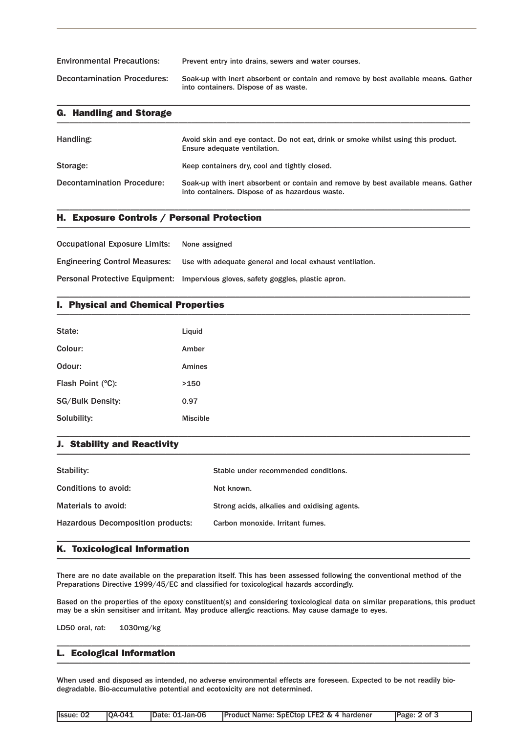Environmental Precautions: Prevent entry into drains, sewers and water courses. Decontamination Procedures: Soak-up with inert absorbent or contain and remove by best available means. Gather into containers. Dispose of as waste.

\_\_\_\_\_\_\_\_\_\_\_\_\_\_\_\_\_\_\_\_\_\_\_\_\_\_\_\_\_\_\_\_\_\_\_\_\_\_\_\_\_\_\_\_\_\_\_\_\_\_\_\_\_\_\_\_\_\_\_\_\_\_\_\_\_\_\_\_\_\_\_\_\_\_\_\_\_\_\_\_\_\_\_\_\_\_\_\_\_\_\_\_\_\_\_

| <b>G. Handling and Storage</b>    |                                                                                                                                       |
|-----------------------------------|---------------------------------------------------------------------------------------------------------------------------------------|
| Handling:                         | Avoid skin and eye contact. Do not eat, drink or smoke whilst using this product.<br>Ensure adequate ventilation.                     |
| Storage:                          | Keep containers dry, cool and tightly closed.                                                                                         |
| <b>Decontamination Procedure:</b> | Soak-up with inert absorbent or contain and remove by best available means. Gather<br>into containers. Dispose of as hazardous waste. |

\_\_\_\_\_\_\_\_\_\_\_\_\_\_\_\_\_\_\_\_\_\_\_\_\_\_\_\_\_\_\_\_\_\_\_\_\_\_\_\_\_\_\_\_\_\_\_\_\_\_\_\_\_\_\_\_\_\_\_\_\_\_\_\_\_\_\_\_\_\_\_\_\_\_\_\_\_\_\_\_\_\_\_\_\_\_\_\_\_\_\_\_\_\_\_

\_\_\_\_\_\_\_\_\_\_\_\_\_\_\_\_\_\_\_\_\_\_\_\_\_\_\_\_\_\_\_\_\_\_\_\_\_\_\_\_\_\_\_\_\_\_\_\_\_\_\_\_\_\_\_\_\_\_\_\_\_\_\_\_\_\_\_\_\_\_\_\_\_\_\_\_\_\_\_\_\_\_\_\_\_\_\_\_\_\_\_\_\_\_\_

### H. Exposure Controls / Personal Protection \_\_\_\_\_\_\_\_\_\_\_\_\_\_\_\_\_\_\_\_\_\_\_\_\_\_\_\_\_\_\_\_\_\_\_\_\_\_\_\_\_\_\_\_\_\_\_\_\_\_\_\_\_\_\_\_\_\_\_\_\_\_\_\_\_\_\_\_\_\_\_\_\_\_\_\_\_\_\_\_\_\_\_\_\_\_\_\_\_\_\_\_\_\_\_

Occupational Exposure Limits: None assigned Engineering Control Measures: Use with adequate general and local exhaust ventilation. Personal Protective Equipment: Impervious gloves, safety goggles, plastic apron.

### I. Physical and Chemical Properties \_\_\_\_\_\_\_\_\_\_\_\_\_\_\_\_\_\_\_\_\_\_\_\_\_\_\_\_\_\_\_\_\_\_\_\_\_\_\_\_\_\_\_\_\_\_\_\_\_\_\_\_\_\_\_\_\_\_\_\_\_\_\_\_\_\_\_\_\_\_\_\_\_\_\_\_\_\_\_\_\_\_\_\_\_\_\_\_\_\_\_\_\_\_\_

| State:                  | Liquid          |
|-------------------------|-----------------|
| Colour:                 | Amber           |
| Odour:                  | Amines          |
| Flash Point (°C):       | >150            |
| <b>SG/Bulk Density:</b> | 0.97            |
| Solubility:             | <b>Miscible</b> |

#### J. Stability and Reactivity  $\blacksquare$

| Stability:                               | Stable under recommended conditions.         |
|------------------------------------------|----------------------------------------------|
| Conditions to avoid:                     | Not known.                                   |
| Materials to avoid:                      | Strong acids, alkalies and oxidising agents. |
| <b>Hazardous Decomposition products:</b> | Carbon monoxide. Irritant fumes.             |
|                                          |                                              |

\_\_\_\_\_\_\_\_\_\_\_\_\_\_\_\_\_\_\_\_\_\_\_\_\_\_\_\_\_\_\_\_\_\_\_\_\_\_\_\_\_\_\_\_\_\_\_\_\_\_\_\_\_\_\_\_\_\_\_\_\_\_\_\_\_\_\_\_\_\_\_\_\_\_\_\_\_\_\_\_\_\_\_\_\_\_\_\_\_\_\_\_\_\_\_

### K. Toxicological Information \_\_\_\_\_\_\_\_\_\_\_\_\_\_\_\_\_\_\_\_\_\_\_\_\_\_\_\_\_\_\_\_\_\_\_\_\_\_\_\_\_\_\_\_\_\_\_\_\_\_\_\_\_\_\_\_\_\_\_\_\_\_\_\_\_\_\_\_\_\_\_\_\_\_\_\_\_\_\_\_\_\_\_\_\_\_\_\_\_\_\_\_\_\_\_

There are no date available on the preparation itself. This has been assessed following the conventional method of the Preparations Directive 1999/45/EC and classified for toxicological hazards accordingly.

Based on the properties of the epoxy constituent(s) and considering toxicological data on similar preparations, this product may be a skin sensitiser and irritant. May produce allergic reactions. May cause damage to eyes.

\_\_\_\_\_\_\_\_\_\_\_\_\_\_\_\_\_\_\_\_\_\_\_\_\_\_\_\_\_\_\_\_\_\_\_\_\_\_\_\_\_\_\_\_\_\_\_\_\_\_\_\_\_\_\_\_\_\_\_\_\_\_\_\_\_\_\_\_\_\_\_\_\_\_\_\_\_\_\_\_\_\_\_\_\_\_\_\_\_\_\_\_\_\_\_

LD50 oral, rat: 1030mg/kg

#### L. Ecological Information  $\blacksquare$   $\blacksquare$   $\blacksquare$   $\blacksquare$   $\blacksquare$   $\blacksquare$   $\blacksquare$   $\blacksquare$   $\blacksquare$   $\blacksquare$   $\blacksquare$   $\blacksquare$   $\blacksquare$   $\blacksquare$   $\blacksquare$   $\blacksquare$   $\blacksquare$   $\blacksquare$   $\blacksquare$   $\blacksquare$   $\blacksquare$   $\blacksquare$   $\blacksquare$   $\blacksquare$   $\blacksquare$   $\blacksquare$   $\blacksquare$   $\blacksquare$   $\blacksquare$   $\blacksquare$   $\blacksquare$   $\blacks$

When used and disposed as intended, no adverse environmental effects are foreseen. Expected to be not readily biodegradable. Bio-accumulative potential and ecotoxicity are not determined.

| Ilssue: 02 | <b>10A-041</b> | Date: 01-Jan-06 | <b>Product Name: SpECtop LFE2 &amp; 4 hardener</b> | Page: 2 of 3 |
|------------|----------------|-----------------|----------------------------------------------------|--------------|
|            |                |                 |                                                    |              |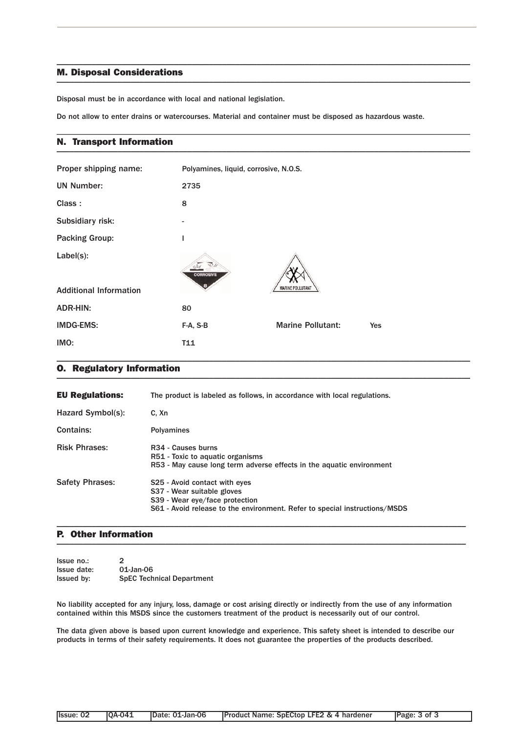#### M. Disposal Considerations  $\blacksquare$

Disposal must be in accordance with local and national legislation.

Do not allow to enter drains or watercourses. Material and container must be disposed as hazardous waste.

\_\_\_\_\_\_\_\_\_\_\_\_\_\_\_\_\_\_\_\_\_\_\_\_\_\_\_\_\_\_\_\_\_\_\_\_\_\_\_\_\_\_\_\_\_\_\_\_\_\_\_\_\_\_\_\_\_\_\_\_\_\_\_\_\_\_\_\_\_\_\_\_\_\_\_\_\_\_\_\_\_\_\_\_\_\_\_\_\_\_\_\_\_\_\_

\_\_\_\_\_\_\_\_\_\_\_\_\_\_\_\_\_\_\_\_\_\_\_\_\_\_\_\_\_\_\_\_\_\_\_\_\_\_\_\_\_\_\_\_\_\_\_\_\_\_\_\_\_\_\_\_\_\_\_\_\_\_\_\_\_\_\_\_\_\_\_\_\_\_\_\_\_\_\_\_\_\_\_\_\_\_\_\_\_\_\_\_\_\_\_

#### N. Transport Information \_\_\_\_\_\_\_\_\_\_\_\_\_\_\_\_\_\_\_\_\_\_\_\_\_\_\_\_\_\_\_\_\_\_\_\_\_\_\_\_\_\_\_\_\_\_\_\_\_\_\_\_\_\_\_\_\_\_\_\_\_\_\_\_\_\_\_\_\_\_\_\_\_\_\_\_\_\_\_\_\_\_\_\_\_\_\_\_\_\_\_\_\_\_\_

| Proper shipping name:                         | Polyamines, liquid, corrosive, N.O.S. |                          |     |
|-----------------------------------------------|---------------------------------------|--------------------------|-----|
| <b>UN Number:</b>                             | 2735                                  |                          |     |
| Class:                                        | 8                                     |                          |     |
| Subsidiary risk:                              | $\overline{\phantom{0}}$              |                          |     |
| <b>Packing Group:</b>                         | L                                     |                          |     |
| $Label(s)$ :<br><b>Additional Information</b> | <b>CORROSIVE</b>                      | <b>MARINE POLLUTANT</b>  |     |
| ADR-HIN:                                      | 80                                    |                          |     |
| <b>IMDG-EMS:</b>                              | F-A, S-B                              | <b>Marine Pollutant:</b> | Yes |
| IMO:                                          | T11                                   |                          |     |

#### O. Regulatory Information \_\_\_\_\_\_\_\_\_\_\_\_\_\_\_\_\_\_\_\_\_\_\_\_\_\_\_\_\_\_\_\_\_\_\_\_\_\_\_\_\_\_\_\_\_\_\_\_\_\_\_\_\_\_\_\_\_\_\_\_\_\_\_\_\_\_\_\_\_\_\_\_\_\_\_\_\_\_\_\_\_\_\_\_\_\_\_\_\_\_\_\_\_\_\_

| <b>EU Regulations:</b> | The product is labeled as follows, in accordance with local regulations.                                                                                                    |
|------------------------|-----------------------------------------------------------------------------------------------------------------------------------------------------------------------------|
| Hazard Symbol(s):      | C. Xn                                                                                                                                                                       |
| Contains:              | <b>Polyamines</b>                                                                                                                                                           |
| <b>Risk Phrases:</b>   | R <sub>34</sub> - Causes burns<br>R51 - Toxic to aquatic organisms<br>R53 - May cause long term adverse effects in the aquatic environment                                  |
| <b>Safety Phrases:</b> | S25 - Avoid contact with eyes<br>S37 - Wear suitable gloves<br>S39 - Wear eye/face protection<br>S61 - Avoid release to the environment. Refer to special instructions/MSDS |

#### P. Other Information  $\blacksquare$

| Issue no.:        | $\mathcal{P}$                    |
|-------------------|----------------------------------|
| Issue date:       | 01-Jan-06                        |
| <b>Issued by:</b> | <b>SpEC Technical Department</b> |

No liability accepted for any injury, loss, damage or cost arising directly or indirectly from the use of any information contained within this MSDS since the customers treatment of the product is necessarily out of our control.

\_\_\_\_\_\_\_\_\_\_\_\_\_\_\_\_\_\_\_\_\_\_\_\_\_\_\_\_\_\_\_\_\_\_\_\_\_\_\_\_\_\_\_\_\_\_\_\_\_\_\_\_\_\_\_\_\_\_\_\_\_\_\_\_\_\_\_\_\_\_\_\_\_\_\_\_\_\_\_\_\_\_\_\_\_\_\_\_\_\_\_\_\_\_

The data given above is based upon current knowledge and experience. This safety sheet is intended to describe our products in terms of their safety requirements. It does not guarantee the properties of the products described.

| <b>Product Name: SpECtop LFE2 &amp; 4 hardener</b><br><b>IOA-041</b><br>Issue: 02<br>Date: 01-Jan-06 | Page: 3 of 3 |
|------------------------------------------------------------------------------------------------------|--------------|
|------------------------------------------------------------------------------------------------------|--------------|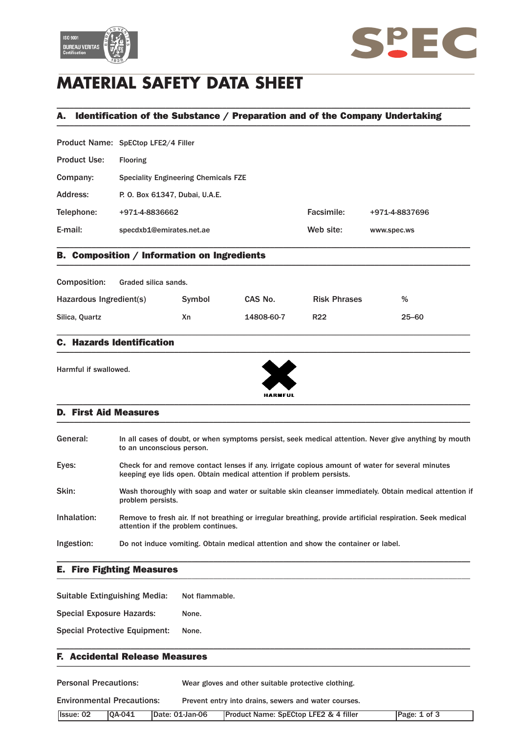



# **MATERIAL SAFETY DATA SHEET**

## A. Identification of the Substance / Preparation and of the Company Undertaking \_\_\_\_\_\_\_\_\_\_\_\_\_\_\_\_\_\_\_\_\_\_\_\_\_\_\_\_\_\_\_\_\_\_\_\_\_\_\_\_\_\_\_\_\_\_\_\_\_\_\_\_\_\_\_\_\_\_\_\_\_\_\_\_\_\_\_\_\_\_\_\_\_\_\_\_\_\_\_\_\_\_\_\_\_\_\_\_\_\_\_\_\_\_\_

\_\_\_\_\_\_\_\_\_\_\_\_\_\_\_\_\_\_\_\_\_\_\_\_\_\_\_\_\_\_\_\_\_\_\_\_\_\_\_\_\_\_\_\_\_\_\_\_\_\_\_\_\_\_\_\_\_\_\_\_\_\_\_\_\_\_\_\_\_\_\_\_\_\_\_\_\_\_\_\_\_\_\_\_\_\_\_\_\_\_\_\_\_\_\_

|                     | Product Name: SpECtop LFE2/4 Filler         |            |                |
|---------------------|---------------------------------------------|------------|----------------|
| <b>Product Use:</b> | <b>Flooring</b>                             |            |                |
| Company:            | <b>Speciality Engineering Chemicals FZE</b> |            |                |
| Address:            | P. O. Box 61347, Dubai, U.A.E.              |            |                |
| Telephone:          | +971-4-8836662                              | Facsimile: | +971-4-8837696 |
| E-mail:             | specdxb1@emirates.net.ae                    | Web site:  | www.spec.ws    |
|                     |                                             |            |                |

### B. Composition / Information on Ingredients \_\_\_\_\_\_\_\_\_\_\_\_\_\_\_\_\_\_\_\_\_\_\_\_\_\_\_\_\_\_\_\_\_\_\_\_\_\_\_\_\_\_\_\_\_\_\_\_\_\_\_\_\_\_\_\_\_\_\_\_\_\_\_\_\_\_\_\_\_\_\_\_\_\_\_\_\_\_\_\_\_\_\_\_\_\_\_\_\_\_\_\_\_\_\_

| <b>Composition:</b>     | Graded silica sands. |        |            |                     |           |
|-------------------------|----------------------|--------|------------|---------------------|-----------|
| Hazardous Ingredient(s) |                      | Symbol | CAS No.    | <b>Risk Phrases</b> | %         |
| Silica, Quartz          |                      | Хn     | 14808-60-7 | <b>R22</b>          | $25 - 60$ |

\_\_\_\_\_\_\_\_\_\_\_\_\_\_\_\_\_\_\_\_\_\_\_\_\_\_\_\_\_\_\_\_\_\_\_\_\_\_\_\_\_\_\_\_\_\_\_\_\_\_\_\_\_\_\_\_\_\_\_\_\_\_\_\_\_\_\_\_\_\_\_\_\_\_\_\_\_\_\_\_\_\_\_\_\_\_\_\_\_\_\_\_\_\_\_

#### C. Hazards Identification  $\blacksquare$

Harmful if swallowed.



#### D. First Aid Measures \_\_\_\_\_\_\_\_\_\_\_\_\_\_\_\_\_\_\_\_\_\_\_\_\_\_\_\_\_\_\_\_\_\_\_\_\_\_\_\_\_\_\_\_\_\_\_\_\_\_\_\_\_\_\_\_\_\_\_\_\_\_\_\_\_\_\_\_\_\_\_\_\_\_\_\_\_\_\_\_\_\_\_\_\_\_\_\_\_\_\_\_\_\_\_

| General:    | In all cases of doubt, or when symptoms persist, seek medical attention. Never give anything by mouth<br>to an unconscious person.                                       |
|-------------|--------------------------------------------------------------------------------------------------------------------------------------------------------------------------|
| Eyes:       | Check for and remove contact lenses if any, irrigate copious amount of water for several minutes<br>keeping eye lids open. Obtain medical attention if problem persists. |
| Skin:       | Wash thoroughly with soap and water or suitable skin cleanser immediately. Obtain medical attention if<br>problem persists.                                              |
| Inhalation: | Remove to fresh air. If not breathing or irregular breathing, provide artificial respiration. Seek medical<br>attention if the problem continues.                        |
| Ingestion:  | Do not induce vomiting. Obtain medical attention and show the container or label.                                                                                        |
|             |                                                                                                                                                                          |

#### E. Fire Fighting Measures \_\_\_\_\_\_\_\_\_\_\_\_\_\_\_\_\_\_\_\_\_\_\_\_\_\_\_\_\_\_\_\_\_\_\_\_\_\_\_\_\_\_\_\_\_\_\_\_\_\_\_\_\_\_\_\_\_\_\_\_\_\_\_\_\_\_\_\_\_\_\_\_\_\_\_\_\_\_\_\_\_\_\_\_\_\_\_\_\_\_\_\_\_\_\_

Suitable Extinguishing Media: Not flammable.

Special Exposure Hazards: None.

Special Protective Equipment: None.

#### F. Accidental Release Measures \_\_\_\_\_\_\_\_\_\_\_\_\_\_\_\_\_\_\_\_\_\_\_\_\_\_\_\_\_\_\_\_\_\_\_\_\_\_\_\_\_\_\_\_\_\_\_\_\_\_\_\_\_\_\_\_\_\_\_\_\_\_\_\_\_\_\_\_\_\_\_\_\_\_\_\_\_\_\_\_\_\_\_\_\_\_\_\_\_\_\_\_\_\_\_

| <b>Personal Precautions:</b>      |               |                 | Wear gloves and other suitable protective clothing.  |              |
|-----------------------------------|---------------|-----------------|------------------------------------------------------|--------------|
| <b>Environmental Precautions:</b> |               |                 | Prevent entry into drains, sewers and water courses. |              |
| <b>Issue: 02</b>                  | <b>0A-041</b> | Date: 01-Jan-06 | <b>Product Name: SpECtop LFE2 &amp; 4 filler</b>     | Page: 1 of 3 |

\_\_\_\_\_\_\_\_\_\_\_\_\_\_\_\_\_\_\_\_\_\_\_\_\_\_\_\_\_\_\_\_\_\_\_\_\_\_\_\_\_\_\_\_\_\_\_\_\_\_\_\_\_\_\_\_\_\_\_\_\_\_\_\_\_\_\_\_\_\_\_\_\_\_\_\_\_\_\_\_\_\_\_\_\_\_\_\_\_\_\_\_\_\_\_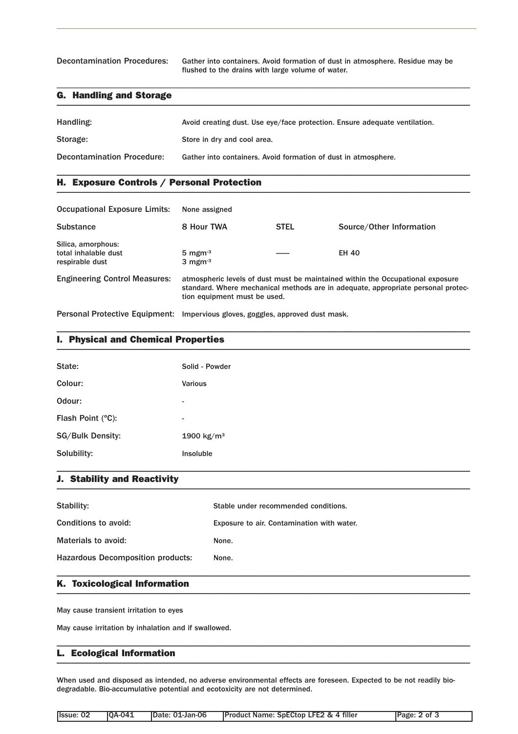Decontamination Procedures: Gather into containers. Avoid formation of dust in atmosphere. Residue may be flushed to the drains with large volume of water.

### G. Handling and Storage \_\_\_\_\_\_\_\_\_\_\_\_\_\_\_\_\_\_\_\_\_\_\_\_\_\_\_\_\_\_\_\_\_\_\_\_\_\_\_\_\_\_\_\_\_\_\_\_\_\_\_\_\_\_\_\_\_\_\_\_\_\_\_\_\_\_\_\_\_\_\_\_\_\_\_\_\_\_\_\_\_\_\_\_\_\_\_\_\_\_\_\_\_\_\_

| Handling:                         | Avoid creating dust. Use eye/face protection. Ensure adequate ventilation. |
|-----------------------------------|----------------------------------------------------------------------------|
| Storage:                          | Store in dry and cool area.                                                |
| <b>Decontamination Procedure:</b> | Gather into containers. Avoid formation of dust in atmosphere.             |

\_\_\_\_\_\_\_\_\_\_\_\_\_\_\_\_\_\_\_\_\_\_\_\_\_\_\_\_\_\_\_\_\_\_\_\_\_\_\_\_\_\_\_\_\_\_\_\_\_\_\_\_\_\_\_\_\_\_\_\_\_\_\_\_\_\_\_\_\_\_\_\_\_\_\_\_\_\_\_\_\_\_\_\_\_\_\_\_\_\_\_\_\_\_\_

\_\_\_\_\_\_\_\_\_\_\_\_\_\_\_\_\_\_\_\_\_\_\_\_\_\_\_\_\_\_\_\_\_\_\_\_\_\_\_\_\_\_\_\_\_\_\_\_\_\_\_\_\_\_\_\_\_\_\_\_\_\_\_\_\_\_\_\_\_\_\_\_\_\_\_\_\_\_\_\_\_\_\_\_\_\_\_\_\_\_\_\_\_\_\_

### H. Exposure Controls / Personal Protection \_\_\_\_\_\_\_\_\_\_\_\_\_\_\_\_\_\_\_\_\_\_\_\_\_\_\_\_\_\_\_\_\_\_\_\_\_\_\_\_\_\_\_\_\_\_\_\_\_\_\_\_\_\_\_\_\_\_\_\_\_\_\_\_\_\_\_\_\_\_\_\_\_\_\_\_\_\_\_\_\_\_\_\_\_\_\_\_\_\_\_\_\_\_\_

| <b>Occupational Exposure Limits:</b>                          | None assigned                                                |             |                                                                                                                                                                    |
|---------------------------------------------------------------|--------------------------------------------------------------|-------------|--------------------------------------------------------------------------------------------------------------------------------------------------------------------|
| <b>Substance</b>                                              | 8 Hour TWA                                                   | <b>STEL</b> | Source/Other Information                                                                                                                                           |
| Silica, amorphous:<br>total inhalable dust<br>respirable dust | $5 \text{ mgm}$ <sup>3</sup><br>$3 \text{ mgm}$ <sup>3</sup> |             | <b>EH 40</b>                                                                                                                                                       |
| <b>Engineering Control Measures:</b>                          | tion equipment must be used.                                 |             | atmospheric levels of dust must be maintained within the Occupational exposure<br>standard. Where mechanical methods are in adequate, appropriate personal protec- |
| <b>Personal Protective Equipment:</b>                         | Impervious gloves, goggles, approved dust mask.              |             |                                                                                                                                                                    |

\_\_\_\_\_\_\_\_\_\_\_\_\_\_\_\_\_\_\_\_\_\_\_\_\_\_\_\_\_\_\_\_\_\_\_\_\_\_\_\_\_\_\_\_\_\_\_\_\_\_\_\_\_\_\_\_\_\_\_\_\_\_\_\_\_\_\_\_\_\_\_\_\_\_\_\_\_\_\_\_\_\_\_\_\_\_\_\_\_\_\_\_\_\_\_

### I. Physical and Chemical Properties \_\_\_\_\_\_\_\_\_\_\_\_\_\_\_\_\_\_\_\_\_\_\_\_\_\_\_\_\_\_\_\_\_\_\_\_\_\_\_\_\_\_\_\_\_\_\_\_\_\_\_\_\_\_\_\_\_\_\_\_\_\_\_\_\_\_\_\_\_\_\_\_\_\_\_\_\_\_\_\_\_\_\_\_\_\_\_\_\_\_\_\_\_\_\_

| State:            | Solid - Powder           |
|-------------------|--------------------------|
| Colour:           | <b>Various</b>           |
| Odour:            | ۰                        |
| Flash Point (°C): | $\overline{\phantom{a}}$ |
| SG/Bulk Density:  | 1900 kg/m <sup>3</sup>   |
| Solubility:       | Insoluble                |

#### J. Stability and Reactivity  $\blacksquare$

| Stability:                               | Stable under recommended conditions.       |
|------------------------------------------|--------------------------------------------|
| Conditions to avoid:                     | Exposure to air. Contamination with water. |
| Materials to avoid:                      | None.                                      |
| <b>Hazardous Decomposition products:</b> | None.                                      |
|                                          |                                            |

### K. Toxicological Information \_\_\_\_\_\_\_\_\_\_\_\_\_\_\_\_\_\_\_\_\_\_\_\_\_\_\_\_\_\_\_\_\_\_\_\_\_\_\_\_\_\_\_\_\_\_\_\_\_\_\_\_\_\_\_\_\_\_\_\_\_\_\_\_\_\_\_\_\_\_\_\_\_\_\_\_\_\_\_\_\_\_\_\_\_\_\_\_\_\_\_\_\_\_\_

May cause transient irritation to eyes

May cause irritation by inhalation and if swallowed.

#### L. Ecological Information  $\blacksquare$   $\blacksquare$   $\blacksquare$   $\blacksquare$   $\blacksquare$   $\blacksquare$   $\blacksquare$   $\blacksquare$   $\blacksquare$   $\blacksquare$   $\blacksquare$   $\blacksquare$   $\blacksquare$   $\blacksquare$   $\blacksquare$   $\blacksquare$   $\blacksquare$   $\blacksquare$   $\blacksquare$   $\blacksquare$   $\blacksquare$   $\blacksquare$   $\blacksquare$   $\blacksquare$   $\blacksquare$   $\blacksquare$   $\blacksquare$   $\blacksquare$   $\blacksquare$   $\blacksquare$   $\blacksquare$   $\blacks$

When used and disposed as intended, no adverse environmental effects are foreseen. Expected to be not readily biodegradable. Bio-accumulative potential and ecotoxicity are not determined.

\_\_\_\_\_\_\_\_\_\_\_\_\_\_\_\_\_\_\_\_\_\_\_\_\_\_\_\_\_\_\_\_\_\_\_\_\_\_\_\_\_\_\_\_\_\_\_\_\_\_\_\_\_\_\_\_\_\_\_\_\_\_\_\_\_\_\_\_\_\_\_\_\_\_\_\_\_\_\_\_\_\_\_\_\_\_\_\_\_\_\_\_\_\_\_

| Issue: 02<br><b>IOA-041</b><br><b>IProduct Name: SpECtop LFE2 &amp; 4 filler</b><br>IDate: 01-Jan-06<br>Page: 2 of 3 |  |  |
|----------------------------------------------------------------------------------------------------------------------|--|--|
|----------------------------------------------------------------------------------------------------------------------|--|--|